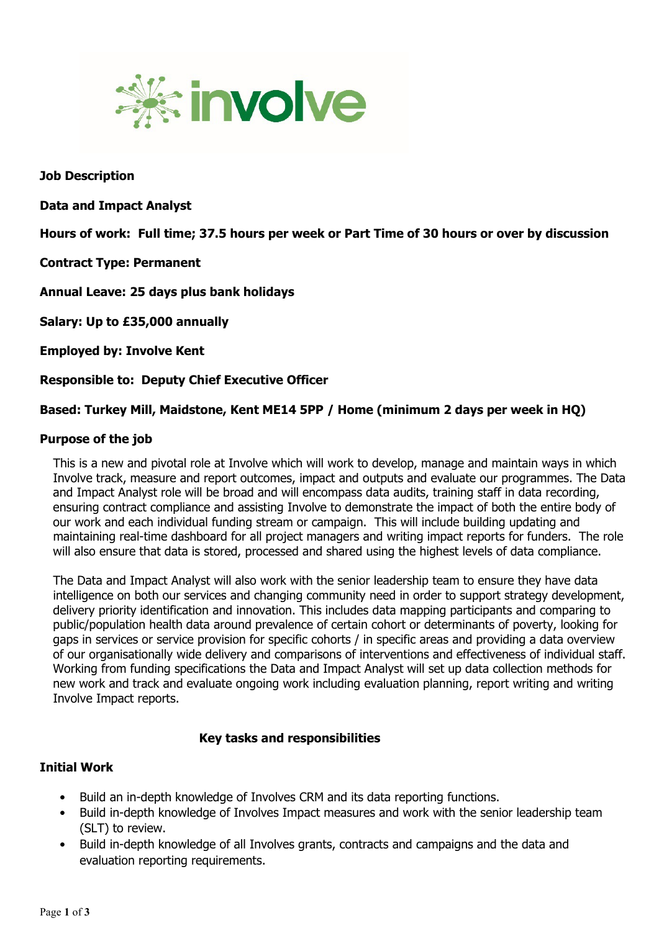

**Job Description**

**Data and Impact Analyst**

**Hours of work: Full time; 37.5 hours per week or Part Time of 30 hours or over by discussion** 

**Contract Type: Permanent** 

**Annual Leave: 25 days plus bank holidays**

**Salary: Up to £35,000 annually** 

**Employed by: Involve Kent**

**Responsible to: Deputy Chief Executive Officer** 

**Based: Turkey Mill, Maidstone, Kent ME14 5PP / Home (minimum 2 days per week in HQ)**

### **Purpose of the job**

This is a new and pivotal role at Involve which will work to develop, manage and maintain ways in which Involve track, measure and report outcomes, impact and outputs and evaluate our programmes. The Data and Impact Analyst role will be broad and will encompass data audits, training staff in data recording, ensuring contract compliance and assisting Involve to demonstrate the impact of both the entire body of our work and each individual funding stream or campaign. This will include building updating and maintaining real-time dashboard for all project managers and writing impact reports for funders. The role will also ensure that data is stored, processed and shared using the highest levels of data compliance.

The Data and Impact Analyst will also work with the senior leadership team to ensure they have data intelligence on both our services and changing community need in order to support strategy development, delivery priority identification and innovation. This includes data mapping participants and comparing to public/population health data around prevalence of certain cohort or determinants of poverty, looking for gaps in services or service provision for specific cohorts / in specific areas and providing a data overview of our organisationally wide delivery and comparisons of interventions and effectiveness of individual staff. Working from funding specifications the Data and Impact Analyst will set up data collection methods for new work and track and evaluate ongoing work including evaluation planning, report writing and writing Involve Impact reports.

### **Key tasks and responsibilities**

## **Initial Work**

- Build an in-depth knowledge of Involves CRM and its data reporting functions.
- Build in-depth knowledge of Involves Impact measures and work with the senior leadership team (SLT) to review.
- Build in-depth knowledge of all Involves grants, contracts and campaigns and the data and evaluation reporting requirements.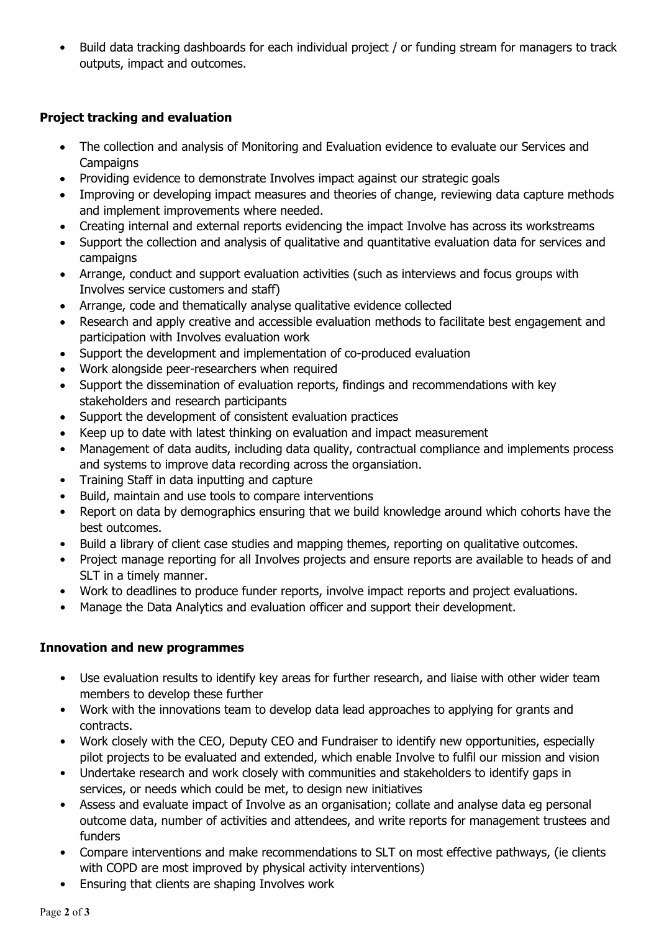• Build data tracking dashboards for each individual project / or funding stream for managers to track outputs, impact and outcomes.

# **Project tracking and evaluation**

- The collection and analysis of Monitoring and Evaluation evidence to evaluate our Services and **Campaigns**
- Providing evidence to demonstrate Involves impact against our strategic goals
- Improving or developing impact measures and theories of change, reviewing data capture methods and implement improvements where needed.
- Creating internal and external reports evidencing the impact Involve has across its workstreams
- Support the collection and analysis of qualitative and quantitative evaluation data for services and campaigns
- Arrange, conduct and support evaluation activities (such as interviews and focus groups with Involves service customers and staff)
- Arrange, code and thematically analyse qualitative evidence collected
- Research and apply creative and accessible evaluation methods to facilitate best engagement and participation with Involves evaluation work
- Support the development and implementation of co-produced evaluation
- Work alongside peer-researchers when required
- Support the dissemination of evaluation reports, findings and recommendations with key stakeholders and research participants
- Support the development of consistent evaluation practices
- Keep up to date with latest thinking on evaluation and impact measurement
- Management of data audits, including data quality, contractual compliance and implements process and systems to improve data recording across the organsiation.
- Training Staff in data inputting and capture
- Build, maintain and use tools to compare interventions
- Report on data by demographics ensuring that we build knowledge around which cohorts have the best outcomes.
- Build a library of client case studies and mapping themes, reporting on qualitative outcomes.
- Project manage reporting for all Involves projects and ensure reports are available to heads of and SLT in a timely manner.
- Work to deadlines to produce funder reports, involve impact reports and project evaluations.
- Manage the Data Analytics and evaluation officer and support their development.

## **Innovation and new programmes**

- Use evaluation results to identify key areas for further research, and liaise with other wider team members to develop these further
- Work with the innovations team to develop data lead approaches to applying for grants and contracts.
- Work closely with the CEO, Deputy CEO and Fundraiser to identify new opportunities, especially pilot projects to be evaluated and extended, which enable Involve to fulfil our mission and vision
- Undertake research and work closely with communities and stakeholders to identify gaps in services, or needs which could be met, to design new initiatives
- Assess and evaluate impact of Involve as an organisation; collate and analyse data eg personal outcome data, number of activities and attendees, and write reports for management trustees and funders
- Compare interventions and make recommendations to SLT on most effective pathways, (ie clients with COPD are most improved by physical activity interventions)
- Ensuring that clients are shaping Involves work